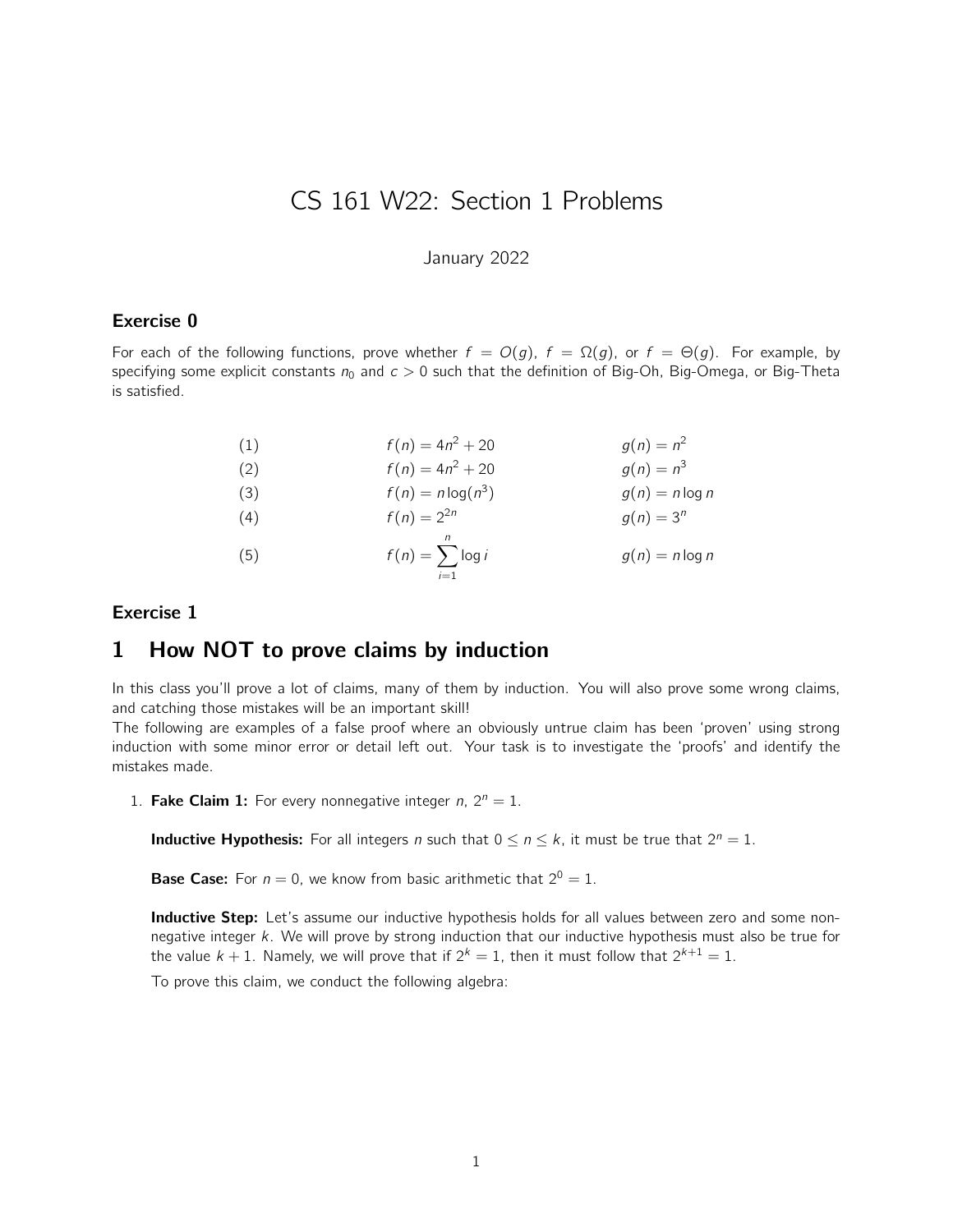# CS 161 W22: Section 1 Problems

January 2022

#### Exercise 0

For each of the following functions, prove whether  $f = O(q)$ ,  $f = \Omega(q)$ , or  $f = \Theta(q)$ . For example, by specifying some explicit constants  $n_0$  and  $c > 0$  such that the definition of Big-Oh, Big-Omega, or Big-Theta is satisfied.

| (1) | $f(n) = 4n^2 + 20$                 | $q(n) = n^2$      |
|-----|------------------------------------|-------------------|
| (2) | $f(n) = 4n^2 + 20$                 | $q(n) = n^3$      |
| (3) | $f(n) = n \log(n^3)$               | $g(n) = n \log n$ |
| (4) | $f(n) = 2^{2n}$                    | $q(n) = 3^n$      |
| (5) | n<br>$f(n) = \sum \log i$<br>$i=1$ | $g(n) = n \log n$ |

#### Exercise 1

## 1 How NOT to prove claims by induction

In this class you'll prove a lot of claims, many of them by induction. You will also prove some wrong claims, and catching those mistakes will be an important skill!

The following are examples of a false proof where an obviously untrue claim has been 'proven' using strong induction with some minor error or detail left out. Your task is to investigate the 'proofs' and identify the mistakes made.

1. Fake Claim 1: For every nonnegative integer n,  $2^n = 1$ .

**Inductive Hypothesis:** For all integers *n* such that  $0 \le n \le k$ , it must be true that  $2^n = 1$ .

**Base Case:** For  $n = 0$ , we know from basic arithmetic that  $2^0 = 1$ .

Inductive Step: Let's assume our inductive hypothesis holds for all values between zero and some nonnegative integer k. We will prove by strong induction that our inductive hypothesis must also be true for the value  $k + 1$ . Namely, we will prove that if  $2^k = 1$ , then it must follow that  $2^{k+1} = 1$ .

To prove this claim, we conduct the following algebra: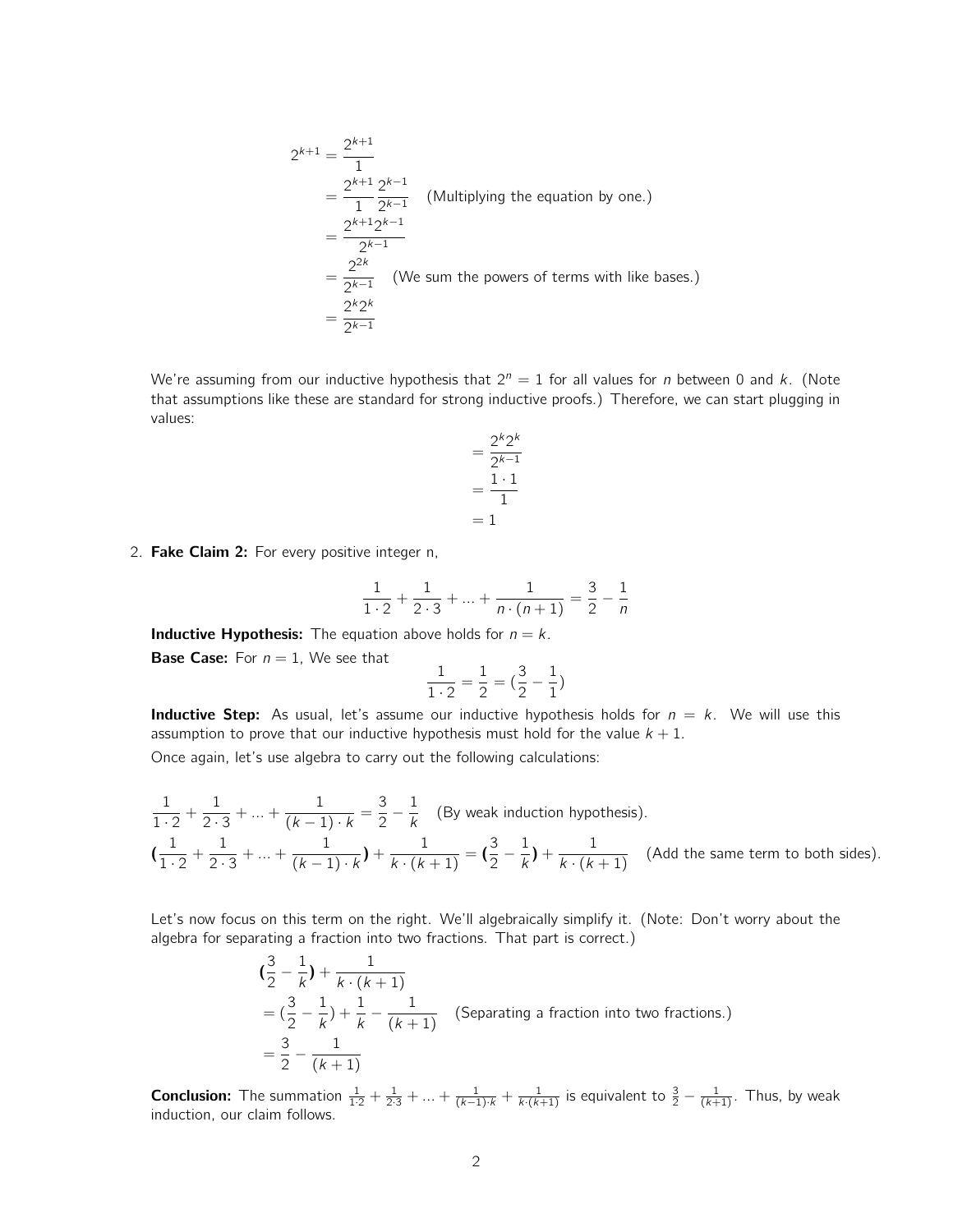$$
2^{k+1} = \frac{2^{k+1}}{1}
$$
  
= 
$$
\frac{2^{k+1}}{1} \frac{2^{k-1}}{2^{k-1}}
$$
 (Multiplying the equation by one.)  
= 
$$
\frac{2^{k+1}2^{k-1}}{2^{k-1}}
$$
  
= 
$$
\frac{2^{2k}}{2^{k-1}}
$$
 (We sum the powers of terms with like bases.)  
= 
$$
\frac{2^k 2^k}{2^{k-1}}
$$

We're assuming from our inductive hypothesis that  $2^n = 1$  for all values for *n* between 0 and *k*. (Note that assumptions like these are standard for strong inductive proofs.) Therefore, we can start plugging in values:

$$
= \frac{2^k 2^k}{2^{k-1}}
$$

$$
= \frac{1 \cdot 1}{1}
$$

$$
= 1
$$

2. Fake Claim 2: For every positive integer n,

$$
\frac{1}{1\cdot 2} + \frac{1}{2\cdot 3} + \dots + \frac{1}{n\cdot (n+1)} = \frac{3}{2} - \frac{1}{n}
$$

**Inductive Hypothesis:** The equation above holds for  $n = k$ .

**Base Case:** For  $n = 1$ , We see that

$$
\frac{1}{1\cdot 2}=\frac{1}{2}=(\frac{3}{2}-\frac{1}{1})
$$

**Inductive Step:** As usual, let's assume our inductive hypothesis holds for  $n = k$ . We will use this assumption to prove that our inductive hypothesis must hold for the value  $k + 1$ .

Once again, let's use algebra to carry out the following calculations:

$$
\frac{1}{1\cdot 2} + \frac{1}{2\cdot 3} + \dots + \frac{1}{(k-1)\cdot k} = \frac{3}{2} - \frac{1}{k}
$$
 (By weak induction hypothesis).  
\n
$$
\left(\frac{1}{1\cdot 2} + \frac{1}{2\cdot 3} + \dots + \frac{1}{(k-1)\cdot k}\right) + \frac{1}{k\cdot (k+1)} = \left(\frac{3}{2} - \frac{1}{k}\right) + \frac{1}{k\cdot (k+1)}
$$
 (Add the same term to both sides).

Let's now focus on this term on the right. We'll algebraically simplify it. (Note: Don't worry about the algebra for separating a fraction into two fractions. That part is correct.)

$$
(\frac{3}{2} - \frac{1}{k}) + \frac{1}{k \cdot (k+1)}
$$
  
=  $(\frac{3}{2} - \frac{1}{k}) + \frac{1}{k} - \frac{1}{(k+1)}$  (Separating a fraction into two fractions.)  
=  $\frac{3}{2} - \frac{1}{(k+1)}$ 

**Conclusion:** The summation  $\frac{1}{1\cdot2} + \frac{1}{2\cdot3} + ... + \frac{1}{(k-1)\cdot k} + \frac{1}{k\cdot(k+1)}$  is equivalent to  $\frac{3}{2} - \frac{1}{(k+1)}$ . Thus, by weak induction, our claim follows.